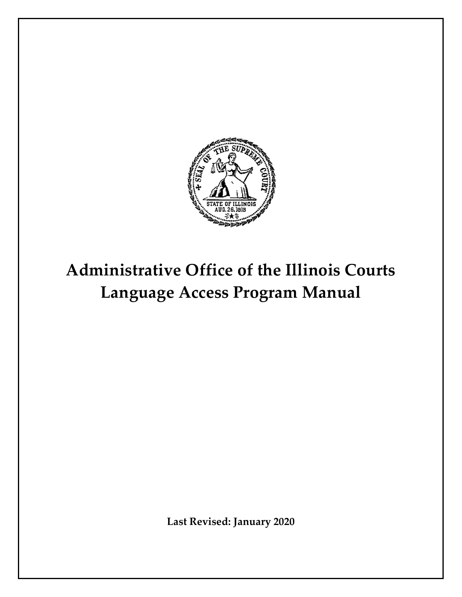

# **Administrative Office of the Illinois Courts Language Access Program Manual**

**Last Revised: January 2020**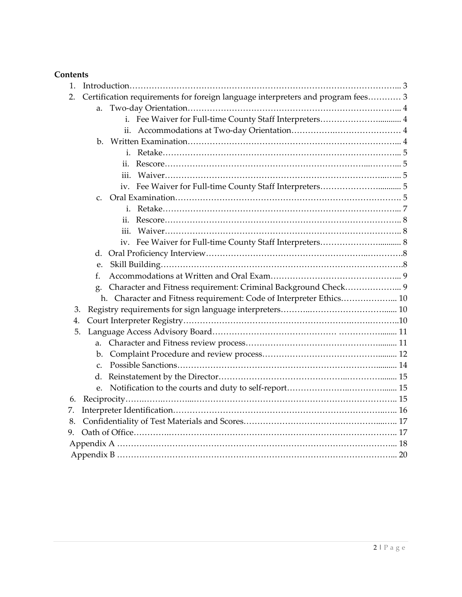# **Contents**

| 1.                                                                                    |
|---------------------------------------------------------------------------------------|
| Certification requirements for foreign language interpreters and program fees 3<br>2. |
| a.                                                                                    |
| i. Fee Waiver for Full-time County Staff Interpreters 4                               |
| ii.                                                                                   |
|                                                                                       |
|                                                                                       |
| ii.                                                                                   |
| iii.                                                                                  |
|                                                                                       |
| $C_{\tau}$                                                                            |
|                                                                                       |
| ii.                                                                                   |
| iii.                                                                                  |
|                                                                                       |
|                                                                                       |
| e.                                                                                    |
| f.                                                                                    |
| Character and Fitness requirement: Criminal Background Check 9                        |
| h. Character and Fitness requirement: Code of Interpreter Ethics 10                   |
| 3.                                                                                    |
| 4.                                                                                    |
| 5.                                                                                    |
|                                                                                       |
|                                                                                       |
| $\mathcal{C}$ .                                                                       |
|                                                                                       |
| e.                                                                                    |
| 6.                                                                                    |
| 7.                                                                                    |
| 8.                                                                                    |
| 9.                                                                                    |
|                                                                                       |
|                                                                                       |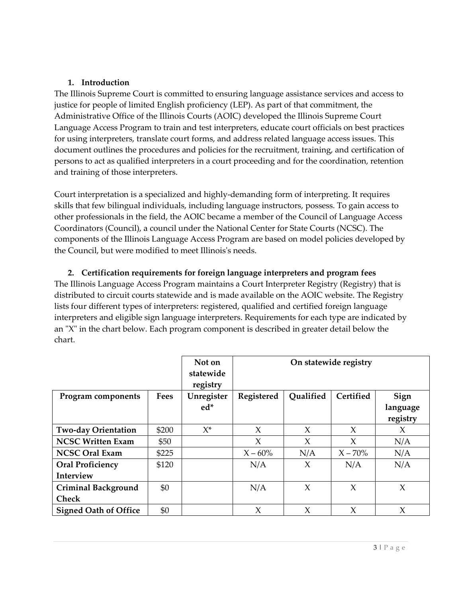## **1. Introduction**

 Administrative Office of the Illinois Courts (AOIC) developed the Illinois Supreme Court persons to act as qualified interpreters in a court proceeding and for the coordination, retention and training of those interpreters. The Illinois Supreme Court is committed to ensuring language assistance services and access to justice for people of limited English proficiency (LEP). As part of that commitment, the Language Access Program to train and test interpreters, educate court officials on best practices for using interpreters, translate court forms, and address related language access issues. This document outlines the procedures and policies for the recruitment, training, and certification of

 skills that few bilingual individuals, including language instructors, possess. To gain access to components of the Illinois Language Access Program are based on model policies developed by the Council, but were modified to meet Illinois's needs. Court interpretation is a specialized and highly-demanding form of interpreting. It requires other professionals in the field, the AOIC became a member of the Council of Language Access Coordinators (Council), a council under the National Center for State Courts (NCSC). The

**2. Certification requirements for foreign language interpreters and program fees** 

 The Illinois Language Access Program maintains a Court Interpreter Registry (Registry) that is lists four different types of interpreters: registered, qualified and certified foreign language interpreters and eligible sign language interpreters. Requirements for each type are indicated by an "X" in the chart below. Each program component is described in greater detail below the distributed to circuit courts statewide and is made available on the AOIC website. The Registry chart.

|                              |             | Not on<br>statewide<br>registry | On statewide registry |           |            |                              |
|------------------------------|-------------|---------------------------------|-----------------------|-----------|------------|------------------------------|
| Program components           | <b>Fees</b> | Unregister<br>$ed*$             | Registered            | Qualified | Certified  | Sign<br>language<br>registry |
| <b>Two-day Orientation</b>   | \$200       | $X^*$                           | $\chi$                | X         | $\chi$     | X                            |
| <b>NCSC Written Exam</b>     | \$50        |                                 | X                     | X         | X          | N/A                          |
| <b>NCSC Oral Exam</b>        | \$225       |                                 | $X - 60\%$            | N/A       | $X - 70\%$ | N/A                          |
| <b>Oral Proficiency</b>      | \$120       |                                 | N/A                   | X         | N/A        | N/A                          |
| Interview                    |             |                                 |                       |           |            |                              |
| <b>Criminal Background</b>   | \$0         |                                 | N/A                   | X         | X          | $\chi$                       |
| <b>Check</b>                 |             |                                 |                       |           |            |                              |
| <b>Signed Oath of Office</b> | \$0         |                                 | X                     | X         | X          | X                            |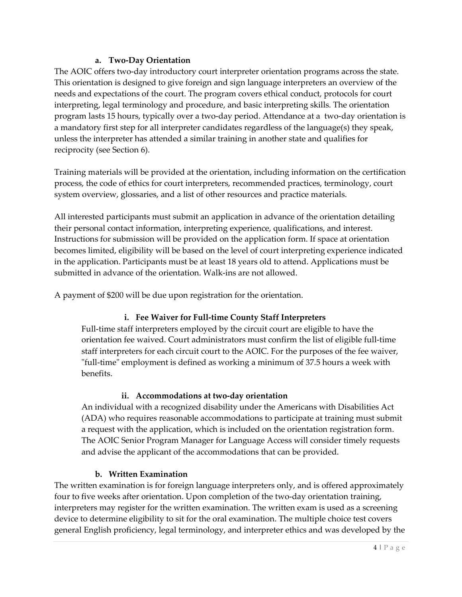# **a. Two-Day Orientation**

 needs and expectations of the court. The program covers ethical conduct, protocols for court program lasts 15 hours, typically over a two-day period. Attendance at a two-day orientation is a mandatory first step for all interpreter candidates regardless of the language(s) they speak, reciprocity (see Section 6). The AOIC offers two-day introductory court interpreter orientation programs across the state. This orientation is designed to give foreign and sign language interpreters an overview of the interpreting, legal terminology and procedure, and basic interpreting skills. The orientation unless the interpreter has attended a similar training in another state and qualifies for

 process, the code of ethics for court interpreters, recommended practices, terminology, court Training materials will be provided at the orientation, including information on the certification system overview, glossaries, and a list of other resources and practice materials.

All interested participants must submit an application in advance of the orientation detailing their personal contact information, interpreting experience, qualifications, and interest. Instructions for submission will be provided on the application form. If space at orientation becomes limited, eligibility will be based on the level of court interpreting experience indicated in the application. Participants must be at least 18 years old to attend. Applications must be submitted in advance of the orientation. Walk-ins are not allowed.

A payment of \$200 will be due upon registration for the orientation.

# **i. Fee Waiver for Full-time County Staff Interpreters**

Full-time staff interpreters employed by the circuit court are eligible to have the orientation fee waived. Court administrators must confirm the list of eligible full-time staff interpreters for each circuit court to the AOIC. For the purposes of the fee waiver, "full-time" employment is defined as working a minimum of 37.5 hours a week with benefits.

# **ii. Accommodations at two-day orientation**

 An individual with a recognized disability under the Americans with Disabilities Act (ADA) who requires reasonable accommodations to participate at training must submit a request with the application, which is included on the orientation registration form. and advise the applicant of the accommodations that can be provided. The AOIC Senior Program Manager for Language Access will consider timely requests

# **b. Written Examination**

 The written examination is for foreign language interpreters only, and is offered approximately four to five weeks after orientation. Upon completion of the two-day orientation training, device to determine eligibility to sit for the oral examination. The multiple choice test covers interpreters may register for the written examination. The written exam is used as a screening general English proficiency, legal terminology, and interpreter ethics and was developed by the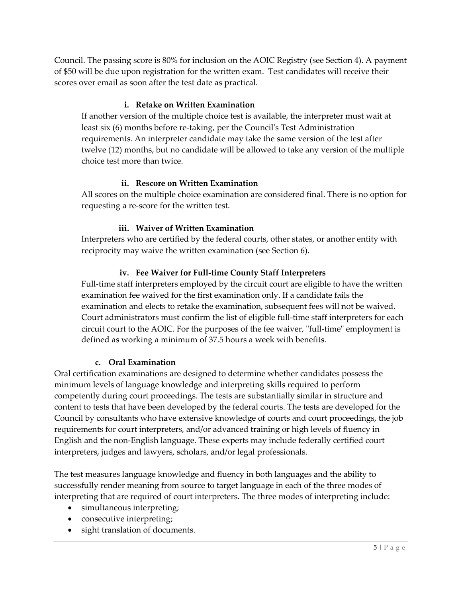Council. The passing score is 80% for inclusion on the AOIC Registry (see Section 4). A payment of \$50 will be due upon registration for the written exam. Test candidates will receive their scores over email as soon after the test date as practical.

# **i. Retake on Written Examination**

 twelve (12) months, but no candidate will be allowed to take any version of the multiple If another version of the multiple choice test is available, the interpreter must wait at least six (6) months before re-taking, per the Council's Test Administration requirements. An interpreter candidate may take the same version of the test after choice test more than twice.

# **ii. Rescore on Written Examination**

 All scores on the multiple choice examination are considered final. There is no option for requesting a re-score for the written test.

# **iii. Waiver of Written Examination**

 Interpreters who are certified by the federal courts, other states, or another entity with reciprocity may waive the written examination (see Section 6).

# **iv. Fee Waiver for Full-time County Staff Interpreters**

 examination fee waived for the first examination only. If a candidate fails the circuit court to the AOIC. For the purposes of the fee waiver, "full-time" employment is Full-time staff interpreters employed by the circuit court are eligible to have the written examination and elects to retake the examination, subsequent fees will not be waived. Court administrators must confirm the list of eligible full-time staff interpreters for each defined as working a minimum of 37.5 hours a week with benefits.

# **c. Oral Examination**

 Council by consultants who have extensive knowledge of courts and court proceedings, the job requirements for court interpreters, and/or advanced training or high levels of fluency in Oral certification examinations are designed to determine whether candidates possess the minimum levels of language knowledge and interpreting skills required to perform competently during court proceedings. The tests are substantially similar in structure and content to tests that have been developed by the federal courts. The tests are developed for the English and the non-English language. These experts may include federally certified court interpreters, judges and lawyers, scholars, and/or legal professionals.

The test measures language knowledge and fluency in both languages and the ability to successfully render meaning from source to target language in each of the three modes of interpreting that are required of court interpreters. The three modes of interpreting include:

- simultaneous interpreting;
- consecutive interpreting;
- sight translation of documents.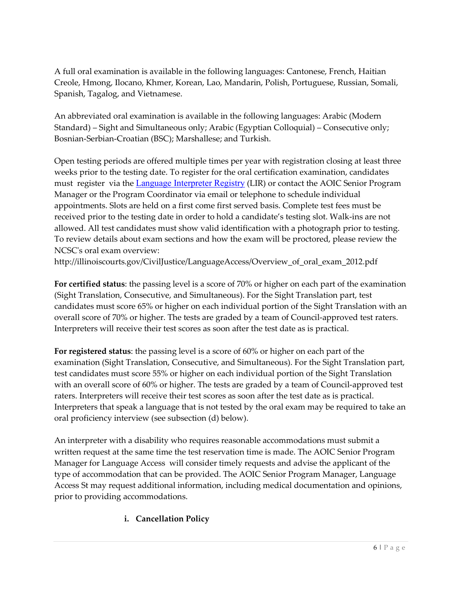A full oral examination is available in the following languages: Cantonese, French, Haitian Creole, Hmong, Ilocano, Khmer, Korean, Lao, Mandarin, Polish, Portuguese, Russian, Somali, Spanish, Tagalog, and Vietnamese.

 Standard) – Sight and Simultaneous only; Arabic (Egyptian Colloquial) – Consecutive only; An abbreviated oral examination is available in the following languages: Arabic (Modern Bosnian-Serbian-Croatian (BSC); Marshallese; and Turkish.

 Open testing periods are offered multiple times per year with registration closing at least three must register via the *Language Interpreter Registry* (LIR) or contact the AOIC Senior Program appointments. Slots are held on a first come first served basis. Complete test fees must be received prior to the testing date in order to hold a candidate's testing slot. Walk-ins are not weeks prior to the testing date. To register for the oral certification examination, candidates Manager or the Program Coordinator via email or telephone to schedule individual allowed. All test candidates must show valid identification with a photograph prior to testing. To review details about exam sections and how the exam will be proctored, please review the NCSC's oral exam overview:

[http://illinoiscourts.gov/CivilJustice/LanguageAccess/Overview\\_of\\_oral\\_exam\\_2012.pdf](http://illinoiscourts.gov/CivilJustice/LanguageAccess/Overview_of_oral_exam_2012.pdf) 

 candidates must score 65% or higher on each individual portion of the Sight Translation with an **For certified status**: the passing level is a score of 70% or higher on each part of the examination (Sight Translation, Consecutive, and Simultaneous). For the Sight Translation part, test overall score of 70% or higher. The tests are graded by a team of Council-approved test raters. Interpreters will receive their test scores as soon after the test date as is practical.

 **For registered status**: the passing level is a score of 60% or higher on each part of the raters. Interpreters will receive their test scores as soon after the test date as is practical. Interpreters that speak a language that is not tested by the oral exam may be required to take an oral proficiency interview (see subsection (d) below). examination (Sight Translation, Consecutive, and Simultaneous). For the Sight Translation part, test candidates must score 55% or higher on each individual portion of the Sight Translation with an overall score of 60% or higher. The tests are graded by a team of Council-approved test

An interpreter with a disability who requires reasonable accommodations must submit a written request at the same time the test reservation time is made. The AOIC Senior Program Manager for Language Access will consider timely requests and advise the applicant of the type of accommodation that can be provided. The AOIC Senior Program Manager, Language Access St may request additional information, including medical documentation and opinions, prior to providing accommodations.

# **i. Cancellation Policy**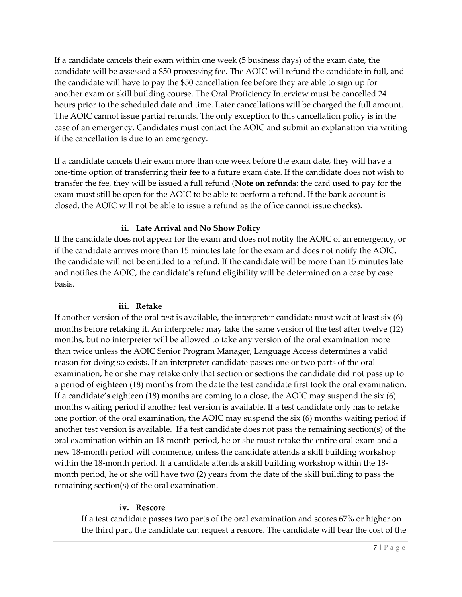candidate will be assessed a \$50 processing fee. The AOIC will refund the candidate in full, and the candidate will have to pay the \$50 cancellation fee before they are able to sign up for The AOIC cannot issue partial refunds. The only exception to this cancellation policy is in the if the cancellation is due to an emergency. If a candidate cancels their exam within one week (5 business days) of the exam date, the another exam or skill building course. The Oral Proficiency Interview must be cancelled 24 hours prior to the scheduled date and time. Later cancellations will be charged the full amount. case of an emergency. Candidates must contact the AOIC and submit an explanation via writing

 one-time option of transferring their fee to a future exam date. If the candidate does not wish to transfer the fee, they will be issued a full refund (**Note on refunds**: the card used to pay for the exam must still be open for the AOIC to be able to perform a refund. If the bank account is If a candidate cancels their exam more than one week before the exam date, they will have a closed, the AOIC will not be able to issue a refund as the office cannot issue checks).

## **ii. Late Arrival and No Show Policy**

 the candidate will not be entitled to a refund. If the candidate will be more than 15 minutes late and notifies the AOIC, the candidate's refund eligibility will be determined on a case by case If the candidate does not appear for the exam and does not notify the AOIC of an emergency, or if the candidate arrives more than 15 minutes late for the exam and does not notify the AOIC, basis.

## **iii. Retake**

 than twice unless the AOIC Senior Program Manager, Language Access determines a valid If a candidate's eighteen (18) months are coming to a close, the AOIC may suspend the six (6) another test version is available. If a test candidate does not pass the remaining section(s) of the new 18-month period will commence, unless the candidate attends a skill building workshop month period, he or she will have two (2) years from the date of the skill building to pass the If another version of the oral test is available, the interpreter candidate must wait at least six (6) months before retaking it. An interpreter may take the same version of the test after twelve (12) months, but no interpreter will be allowed to take any version of the oral examination more reason for doing so exists. If an interpreter candidate passes one or two parts of the oral examination, he or she may retake only that section or sections the candidate did not pass up to a period of eighteen (18) months from the date the test candidate first took the oral examination. months waiting period if another test version is available. If a test candidate only has to retake one portion of the oral examination, the AOIC may suspend the six (6) months waiting period if oral examination within an 18-month period, he or she must retake the entire oral exam and a within the 18-month period. If a candidate attends a skill building workshop within the 18 remaining section(s) of the oral examination.

## **iv. Rescore**

 the third part, the candidate can request a rescore. The candidate will bear the cost of the If a test candidate passes two parts of the oral examination and scores 67% or higher on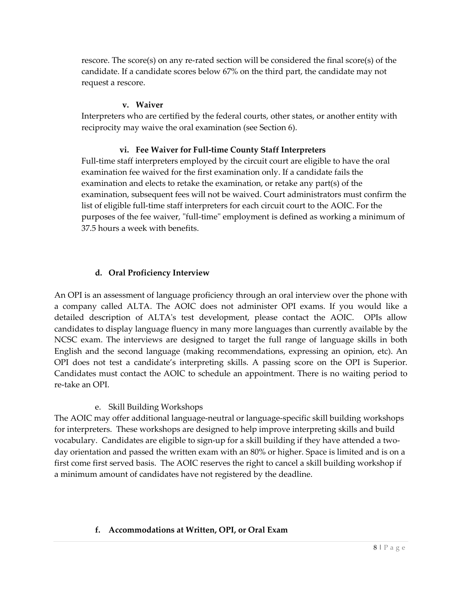rescore. The score(s) on any re-rated section will be considered the final score(s) of the candidate. If a candidate scores below 67% on the third part, the candidate may not request a rescore.

## **v. Waiver**

 Interpreters who are certified by the federal courts, other states, or another entity with reciprocity may waive the oral examination (see Section 6).

## **vi. Fee Waiver for Full-time County Staff Interpreters**

Full-time staff interpreters employed by the circuit court are eligible to have the oral examination fee waived for the first examination only. If a candidate fails the examination and elects to retake the examination, or retake any part(s) of the examination, subsequent fees will not be waived. Court administrators must confirm the list of eligible full-time staff interpreters for each circuit court to the AOIC. For the purposes of the fee waiver, "full-time" employment is defined as working a minimum of 37.5 hours a week with benefits.

# **d. Oral Proficiency Interview**

 An OPI is an assessment of language proficiency through an oral interview over the phone with a company called ALTA. The AOIC does not administer OPI exams. If you would like a candidates to display language fluency in many more languages than currently available by the OPI does not test a candidate's interpreting skills. A passing score on the OPI is Superior. Candidates must contact the AOIC to schedule an appointment. There is no waiting period to re-take an OPI. detailed description of ALTA's test development, please contact the AOIC. OPIs allow NCSC exam. The interviews are designed to target the full range of language skills in both English and the second language (making recommendations, expressing an opinion, etc). An

## e. Skill Building Workshops

 for interpreters. These workshops are designed to help improve interpreting skills and build vocabulary. Candidates are eligible to sign-up for a skill building if they have attended a two- first come first served basis. The AOIC reserves the right to cancel a skill building workshop if The AOIC may offer additional language-neutral or language-specific skill building workshops day orientation and passed the written exam with an 80% or higher. Space is limited and is on a a minimum amount of candidates have not registered by the deadline.

## **f. Accommodations at Written, OPI, or Oral Exam**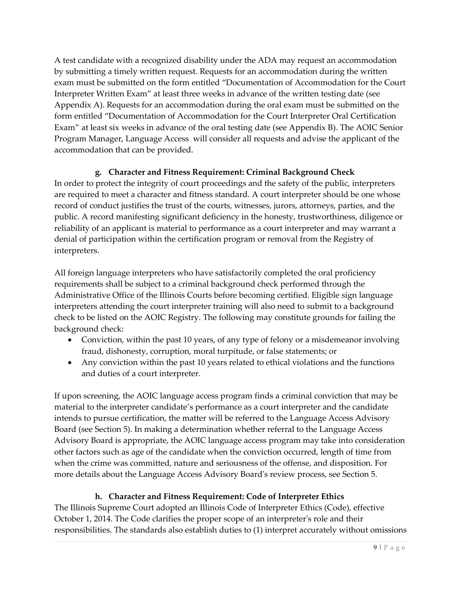Exam" at least six weeks in advance of the oral testing date (see Appendix B). The AOIC Senior Program Manager, Language Access will consider all requests and advise the applicant of the A test candidate with a recognized disability under the ADA may request an accommodation by submitting a timely written request. Requests for an accommodation during the written exam must be submitted on the form entitled "Documentation of Accommodation for the Court Interpreter Written Exam" at least three weeks in advance of the written testing date (see Appendix A). Requests for an accommodation during the oral exam must be submitted on the form entitled "Documentation of Accommodation for the Court Interpreter Oral Certification accommodation that can be provided.

# **g. Character and Fitness Requirement: Criminal Background Check**

 reliability of an applicant is material to performance as a court interpreter and may warrant a In order to protect the integrity of court proceedings and the safety of the public, interpreters are required to meet a character and fitness standard. A court interpreter should be one whose record of conduct justifies the trust of the courts, witnesses, jurors, attorneys, parties, and the public. A record manifesting significant deficiency in the honesty, trustworthiness, diligence or denial of participation within the certification program or removal from the Registry of interpreters.

 Administrative Office of the Illinois Courts before becoming certified. Eligible sign language interpreters attending the court interpreter training will also need to submit to a background check to be listed on the AOIC Registry. The following may constitute grounds for failing the All foreign language interpreters who have satisfactorily completed the oral proficiency requirements shall be subject to a criminal background check performed through the background check:

- fraud, dishonesty, corruption, moral turpitude, or false statements; or • Conviction, within the past 10 years, of any type of felony or a misdemeanor involving
- Any conviction within the past 10 years related to ethical violations and the functions and duties of a court interpreter.

 intends to pursue certification, the matter will be referred to the Language Access Advisory Advisory Board is appropriate, the AOIC language access program may take into consideration other factors such as age of the candidate when the conviction occurred, length of time from If upon screening, the AOIC language access program finds a criminal conviction that may be material to the interpreter candidate's performance as a court interpreter and the candidate Board (see Section 5). In making a determination whether referral to the Language Access when the crime was committed, nature and seriousness of the offense, and disposition. For more details about the Language Access Advisory Board's review process, see Section 5.

# **h. Character and Fitness Requirement: Code of Interpreter Ethics**

The Illinois Supreme Court adopted an Illinois Code of Interpreter Ethics (Code), effective October 1, 2014. The Code clarifies the proper scope of an interpreter's role and their responsibilities. The standards also establish duties to (1) interpret accurately without omissions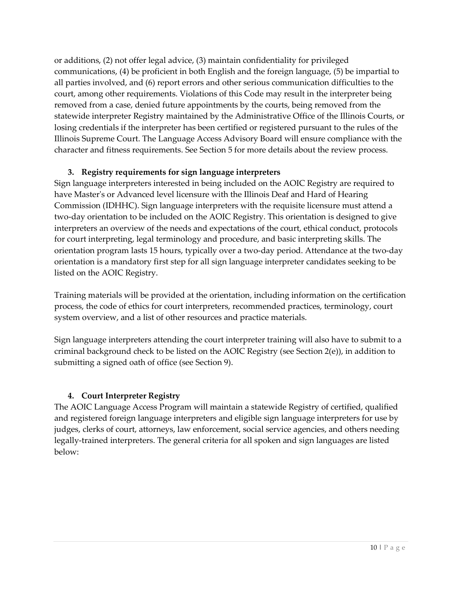statewide interpreter Registry maintained by the Administrative Office of the Illinois Courts, or Illinois Supreme Court. The Language Access Advisory Board will ensure compliance with the or additions, (2) not offer legal advice, (3) maintain confidentiality for privileged communications, (4) be proficient in both English and the foreign language, (5) be impartial to all parties involved, and (6) report errors and other serious communication difficulties to the court, among other requirements. Violations of this Code may result in the interpreter being removed from a case, denied future appointments by the courts, being removed from the losing credentials if the interpreter has been certified or registered pursuant to the rules of the character and fitness requirements. See Section 5 for more details about the review process.

## **3. Registry requirements for sign language interpreters**

 have Master's or Advanced level licensure with the Illinois Deaf and Hard of Hearing two-day orientation to be included on the AOIC Registry. This orientation is designed to give interpreters an overview of the needs and expectations of the court, ethical conduct, protocols listed on the AOIC Registry. Sign language interpreters interested in being included on the AOIC Registry are required to Commission (IDHHC). Sign language interpreters with the requisite licensure must attend a for court interpreting, legal terminology and procedure, and basic interpreting skills. The orientation program lasts 15 hours, typically over a two-day period. Attendance at the two-day orientation is a mandatory first step for all sign language interpreter candidates seeking to be

Training materials will be provided at the orientation, including information on the certification process, the code of ethics for court interpreters, recommended practices, terminology, court system overview, and a list of other resources and practice materials.

Sign language interpreters attending the court interpreter training will also have to submit to a criminal background check to be listed on the AOIC Registry (see Section 2(e)), in addition to submitting a signed oath of office (see Section 9).

# **4. Court Interpreter Registry**

 The AOIC Language Access Program will maintain a statewide Registry of certified, qualified legally-trained interpreters. The general criteria for all spoken and sign languages are listed and registered foreign language interpreters and eligible sign language interpreters for use by judges, clerks of court, attorneys, law enforcement, social service agencies, and others needing below: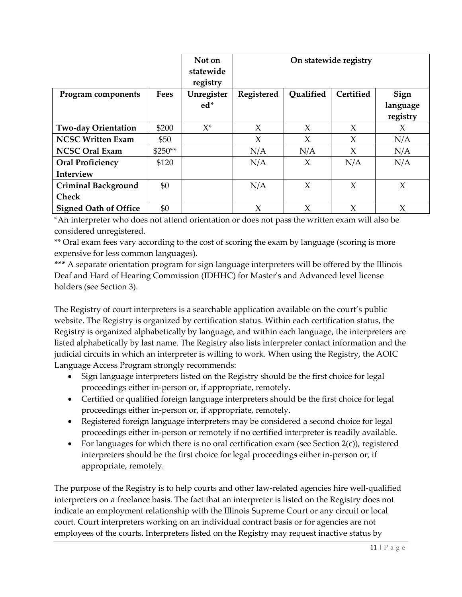|                              |          | Not on<br>statewide<br>registry |            | On statewide registry |           |          |
|------------------------------|----------|---------------------------------|------------|-----------------------|-----------|----------|
| Program components           | Fees     | Unregister                      | Registered | Qualified             | Certified | Sign     |
|                              |          | $ed*$                           |            |                       |           | language |
|                              |          |                                 |            |                       |           | registry |
| <b>Two-day Orientation</b>   | \$200    | $X^*$                           | X          | X                     | X         | X        |
| <b>NCSC Written Exam</b>     | \$50     |                                 | $\chi$     | X                     | $\chi$    | N/A      |
| <b>NCSC Oral Exam</b>        | $$250**$ |                                 | N/A        | N/A                   | X         | N/A      |
| <b>Oral Proficiency</b>      | \$120    |                                 | N/A        | X                     | N/A       | N/A      |
| Interview                    |          |                                 |            |                       |           |          |
| <b>Criminal Background</b>   | \$0      |                                 | N/A        | X                     | X         | X        |
| <b>Check</b>                 |          |                                 |            |                       |           |          |
| <b>Signed Oath of Office</b> | \$0      |                                 | $\chi$     | $\chi$                | $\chi$    | $\chi$   |

 \*An interpreter who does not attend orientation or does not pass the written exam will also be considered unregistered.

 \*\* Oral exam fees vary according to the cost of scoring the exam by language (scoring is more expensive for less common languages).

**\*\*\*** A separate orientation program for sign language interpreters will be offered by the Illinois Deaf and Hard of Hearing Commission (IDHHC) for Master's and Advanced level license holders (see Section 3).

 The Registry of court interpreters is a searchable application available on the court's public listed alphabetically by last name. The Registry also lists interpreter contact information and the judicial circuits in which an interpreter is willing to work. When using the Registry, the AOIC website. The Registry is organized by certification status. Within each certification status, the Registry is organized alphabetically by language, and within each language, the interpreters are Language Access Program strongly recommends:

- • Sign language interpreters listed on the Registry should be the first choice for legal proceedings either in-person or, if appropriate, remotely.
- Certified or qualified foreign language interpreters should be the first choice for legal proceedings either in-person or, if appropriate, remotely.
- Registered foreign language interpreters may be considered a second choice for legal proceedings either in-person or remotely if no certified interpreter is readily available.
- • For languages for which there is no oral certification exam (see Section 2(c)), registered interpreters should be the first choice for legal proceedings either in-person or, if appropriate, remotely.

 indicate an employment relationship with the Illinois Supreme Court or any circuit or local employees of the courts. Interpreters listed on the Registry may request inactive status by The purpose of the Registry is to help courts and other law-related agencies hire well-qualified interpreters on a freelance basis. The fact that an interpreter is listed on the Registry does not court. Court interpreters working on an individual contract basis or for agencies are not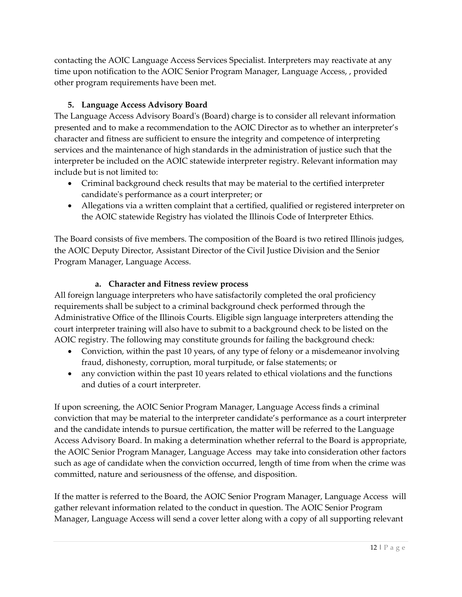contacting the AOIC Language Access Services Specialist. Interpreters may reactivate at any time upon notification to the AOIC Senior Program Manager, Language Access, , provided other program requirements have been met.

# **5. Language Access Advisory Board**

 presented and to make a recommendation to the AOIC Director as to whether an interpreter's character and fitness are sufficient to ensure the integrity and competence of interpreting The Language Access Advisory Board's (Board) charge is to consider all relevant information services and the maintenance of high standards in the administration of justice such that the interpreter be included on the AOIC statewide interpreter registry. Relevant information may include but is not limited to:

- • Criminal background check results that may be material to the certified interpreter candidate's performance as a court interpreter; or
- Allegations via a written complaint that a certified, qualified or registered interpreter on the AOIC statewide Registry has violated the Illinois Code of Interpreter Ethics.

 the AOIC Deputy Director, Assistant Director of the Civil Justice Division and the Senior The Board consists of five members. The composition of the Board is two retired Illinois judges, Program Manager, Language Access.

# **a. Character and Fitness review process**

 requirements shall be subject to a criminal background check performed through the All foreign language interpreters who have satisfactorily completed the oral proficiency Administrative Office of the Illinois Courts. Eligible sign language interpreters attending the court interpreter training will also have to submit to a background check to be listed on the AOIC registry. The following may constitute grounds for failing the background check:

- Conviction, within the past 10 years, of any type of felony or a misdemeanor involving fraud, dishonesty, corruption, moral turpitude, or false statements; or
- any conviction within the past 10 years related to ethical violations and the functions and duties of a court interpreter.

 If upon screening, the AOIC Senior Program Manager, Language Access finds a criminal conviction that may be material to the interpreter candidate's performance as a court interpreter Access Advisory Board. In making a determination whether referral to the Board is appropriate, the AOIC Senior Program Manager, Language Access may take into consideration other factors and the candidate intends to pursue certification, the matter will be referred to the Language such as age of candidate when the conviction occurred, length of time from when the crime was committed, nature and seriousness of the offense, and disposition.

 gather relevant information related to the conduct in question. The AOIC Senior Program If the matter is referred to the Board, the AOIC Senior Program Manager, Language Access will Manager, Language Access will send a cover letter along with a copy of all supporting relevant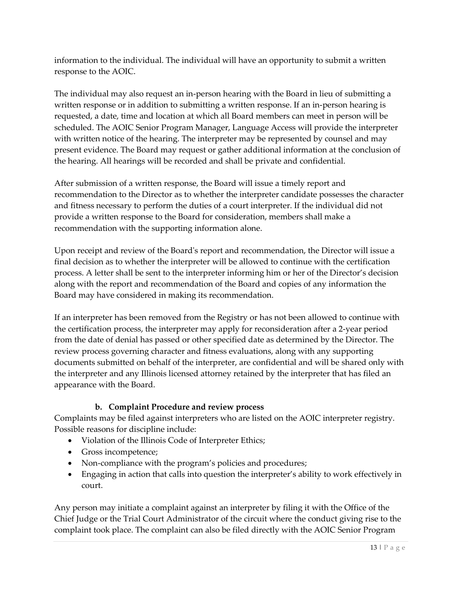information to the individual. The individual will have an opportunity to submit a written response to the AOIC.

 written response or in addition to submitting a written response. If an in-person hearing is requested, a date, time and location at which all Board members can meet in person will be present evidence. The Board may request or gather additional information at the conclusion of The individual may also request an in-person hearing with the Board in lieu of submitting a scheduled. The AOIC Senior Program Manager, Language Access will provide the interpreter with written notice of the hearing. The interpreter may be represented by counsel and may the hearing. All hearings will be recorded and shall be private and confidential.

 After submission of a written response, the Board will issue a timely report and recommendation to the Director as to whether the interpreter candidate possesses the character provide a written response to the Board for consideration, members shall make a and fitness necessary to perform the duties of a court interpreter. If the individual did not recommendation with the supporting information alone.

 Upon receipt and review of the Board's report and recommendation, the Director will issue a final decision as to whether the interpreter will be allowed to continue with the certification process. A letter shall be sent to the interpreter informing him or her of the Director's decision along with the report and recommendation of the Board and copies of any information the Board may have considered in making its recommendation.

 If an interpreter has been removed from the Registry or has not been allowed to continue with documents submitted on behalf of the interpreter, are confidential and will be shared only with the certification process, the interpreter may apply for reconsideration after a 2-year period from the date of denial has passed or other specified date as determined by the Director. The review process governing character and fitness evaluations, along with any supporting the interpreter and any Illinois licensed attorney retained by the interpreter that has filed an appearance with the Board.

# **b. Complaint Procedure and review process**

 Complaints may be filed against interpreters who are listed on the AOIC interpreter registry. Possible reasons for discipline include:

- Violation of the Illinois Code of Interpreter Ethics;
- Gross incompetence;
- Non-compliance with the program's policies and procedures;
- Engaging in action that calls into question the interpreter's ability to work effectively in court.

 Any person may initiate a complaint against an interpreter by filing it with the Office of the Chief Judge or the Trial Court Administrator of the circuit where the conduct giving rise to the complaint took place. The complaint can also be filed directly with the AOIC Senior Program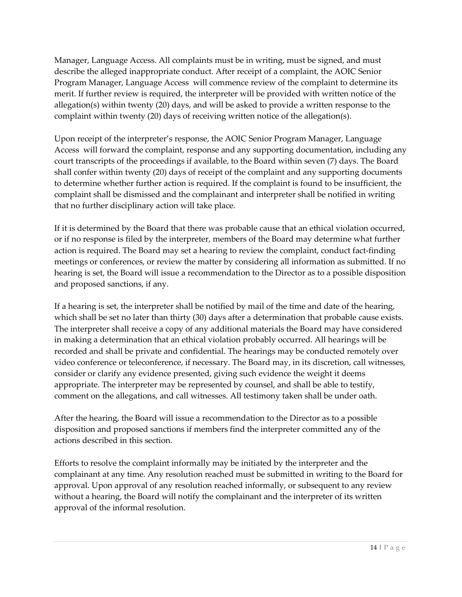describe the alleged inappropriate conduct. After receipt of a complaint, the AOIC Senior merit. If further review is required, the interpreter will be provided with written notice of the complaint within twenty (20) days of receiving written notice of the allegation(s). Manager, Language Access. All complaints must be in writing, must be signed, and must Program Manager, Language Access will commence review of the complaint to determine its allegation(s) within twenty (20) days, and will be asked to provide a written response to the

 Upon receipt of the interpreter's response, the AOIC Senior Program Manager, Language complaint shall be dismissed and the complainant and interpreter shall be notified in writing Access will forward the complaint, response and any supporting documentation, including any court transcripts of the proceedings if available, to the Board within seven (7) days. The Board shall confer within twenty (20) days of receipt of the complaint and any supporting documents to determine whether further action is required. If the complaint is found to be insufficient, the that no further disciplinary action will take place.

 If it is determined by the Board that there was probable cause that an ethical violation occurred, action is required. The Board may set a hearing to review the complaint, conduct fact-finding hearing is set, the Board will issue a recommendation to the Director as to a possible disposition or if no response is filed by the interpreter, members of the Board may determine what further meetings or conferences, or review the matter by considering all information as submitted. If no and proposed sanctions, if any.

 If a hearing is set, the interpreter shall be notified by mail of the time and date of the hearing, which shall be set no later than thirty (30) days after a determination that probable cause exists. The interpreter shall receive a copy of any additional materials the Board may have considered in making a determination that an ethical violation probably occurred. All hearings will be video conference or teleconference, if necessary. The Board may, in its discretion, call witnesses, appropriate. The interpreter may be represented by counsel, and shall be able to testify, recorded and shall be private and confidential. The hearings may be conducted remotely over consider or clarify any evidence presented, giving such evidence the weight it deems comment on the allegations, and call witnesses. All testimony taken shall be under oath.

 After the hearing, the Board will issue a recommendation to the Director as to a possible actions described in this section. disposition and proposed sanctions if members find the interpreter committed any of the

 without a hearing, the Board will notify the complainant and the interpreter of its written approval of the informal resolution. Efforts to resolve the complaint informally may be initiated by the interpreter and the complainant at any time. Any resolution reached must be submitted in writing to the Board for approval. Upon approval of any resolution reached informally, or subsequent to any review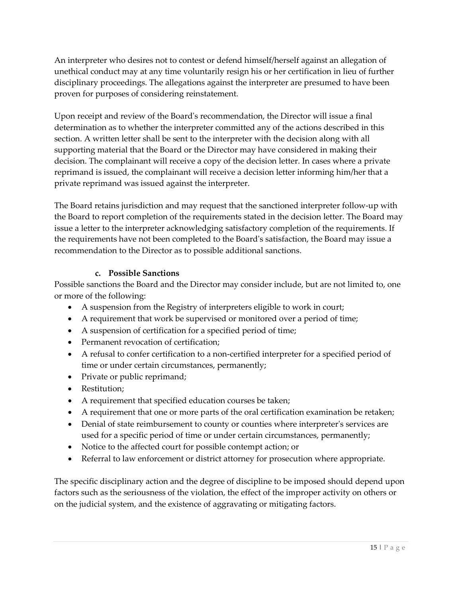unethical conduct may at any time voluntarily resign his or her certification in lieu of further An interpreter who desires not to contest or defend himself/herself against an allegation of disciplinary proceedings. The allegations against the interpreter are presumed to have been proven for purposes of considering reinstatement.

 section. A written letter shall be sent to the interpreter with the decision along with all supporting material that the Board or the Director may have considered in making their decision. The complainant will receive a copy of the decision letter. In cases where a private Upon receipt and review of the Board's recommendation, the Director will issue a final determination as to whether the interpreter committed any of the actions described in this reprimand is issued, the complainant will receive a decision letter informing him/her that a private reprimand was issued against the interpreter.

 issue a letter to the interpreter acknowledging satisfactory completion of the requirements. If The Board retains jurisdiction and may request that the sanctioned interpreter follow-up with the Board to report completion of the requirements stated in the decision letter. The Board may the requirements have not been completed to the Board's satisfaction, the Board may issue a recommendation to the Director as to possible additional sanctions.

## **c. Possible Sanctions**

 or more of the following: Possible sanctions the Board and the Director may consider include, but are not limited to, one

- A suspension from the Registry of interpreters eligible to work in court;
- A requirement that work be supervised or monitored over a period of time;
- A suspension of certification for a specified period of time;
- Permanent revocation of certification;
- A refusal to confer certification to a non-certified interpreter for a specified period of time or under certain circumstances, permanently;
- Private or public reprimand;
- Restitution;
- A requirement that specified education courses be taken;
- A requirement that one or more parts of the oral certification examination be retaken;
- Denial of state reimbursement to county or counties where interpreter's services are used for a specific period of time or under certain circumstances, permanently;
- Notice to the affected court for possible contempt action; or
- Referral to law enforcement or district attorney for prosecution where appropriate.

 The specific disciplinary action and the degree of discipline to be imposed should depend upon on the judicial system, and the existence of aggravating or mitigating factors. factors such as the seriousness of the violation, the effect of the improper activity on others or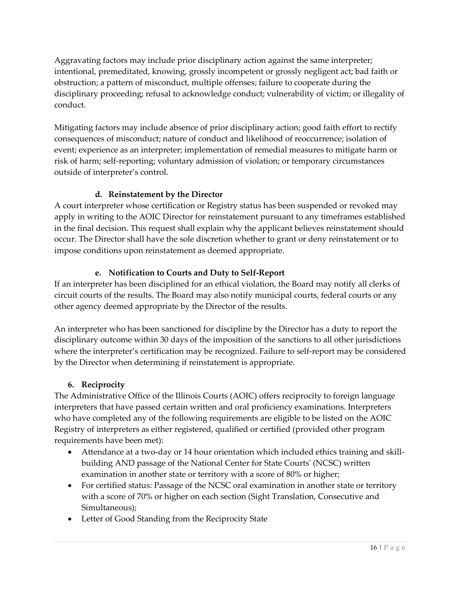disciplinary proceeding; refusal to acknowledge conduct; vulnerability of victim; or illegality of Aggravating factors may include prior disciplinary action against the same interpreter; intentional, premeditated, knowing, grossly incompetent or grossly negligent act; bad faith or obstruction; a pattern of misconduct, multiple offenses; failure to cooperate during the conduct.

 consequences of misconduct; nature of conduct and likelihood of reoccurrence; isolation of event; experience as an interpreter; implementation of remedial measures to mitigate harm or Mitigating factors may include absence of prior disciplinary action; good faith effort to rectify risk of harm; self-reporting; voluntary admission of violation; or temporary circumstances outside of interpreter's control.

# **d. Reinstatement by the Director**

A court interpreter whose certification or Registry status has been suspended or revoked may apply in writing to the AOIC Director for reinstatement pursuant to any timeframes established in the final decision. This request shall explain why the applicant believes reinstatement should occur. The Director shall have the sole discretion whether to grant or deny reinstatement or to impose conditions upon reinstatement as deemed appropriate.

# **e. Notification to Courts and Duty to Self-Report**

If an interpreter has been disciplined for an ethical violation, the Board may notify all clerks of circuit courts of the results. The Board may also notify municipal courts, federal courts or any other agency deemed appropriate by the Director of the results.

 An interpreter who has been sanctioned for discipline by the Director has a duty to report the disciplinary outcome within 30 days of the imposition of the sanctions to all other jurisdictions where the interpreter's certification may be recognized. Failure to self-report may be considered by the Director when determining if reinstatement is appropriate.

# **6. Reciprocity**

 The Administrative Office of the Illinois Courts (AOIC) offers reciprocity to foreign language who have completed any of the following requirements are eligible to be listed on the AOIC requirements have been met): interpreters that have passed certain written and oral proficiency examinations. Interpreters Registry of interpreters as either registered, qualified or certified (provided other program

- • Attendance at a two-day or 14 hour orientation which included ethics training and skill- building AND passage of the National Center for State Courts' (NCSC) written examination in another state or territory with a score of 80% or higher;
- • For certified status: Passage of the NCSC oral examination in another state or territory with a score of 70% or higher on each section (Sight Translation, Consecutive and Simultaneous);
- Letter of Good Standing from the Reciprocity State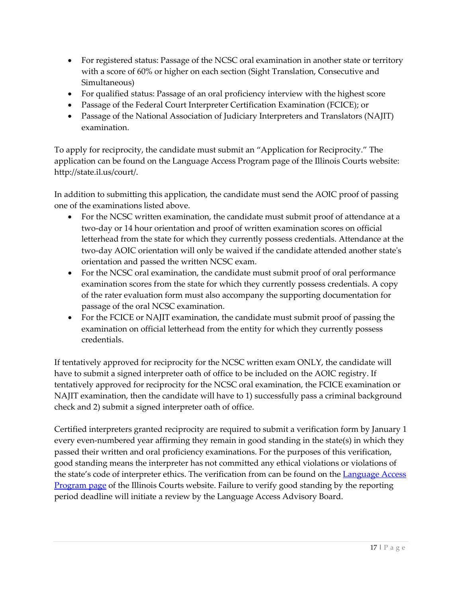- For registered status: Passage of the NCSC oral examination in another state or territory with a score of 60% or higher on each section (Sight Translation, Consecutive and Simultaneous)
- For qualified status: Passage of an oral proficiency interview with the highest score
- Passage of the Federal Court Interpreter Certification Examination (FCICE); or
- Passage of the National Association of Judiciary Interpreters and Translators (NAJIT) examination.

 application can be found on the Language Access Program page of the Illinois Courts website: http://state.il.us/court/. To apply for reciprocity, the candidate must submit an "Application for Reciprocity." The

In addition to submitting this application, the candidate must send the AOIC proof of passing one of the examinations listed above.

- two-day or 14 hour orientation and proof of written examination scores on official two-day AOIC orientation will only be waived if the candidate attended another state's • For the NCSC written examination, the candidate must submit proof of attendance at a letterhead from the state for which they currently possess credentials. Attendance at the orientation and passed the written NCSC exam.
- examination scores from the state for which they currently possess credentials. A copy • For the NCSC oral examination, the candidate must submit proof of oral performance of the rater evaluation form must also accompany the supporting documentation for passage of the oral NCSC examination.
- • For the FCICE or NAJIT examination, the candidate must submit proof of passing the examination on official letterhead from the entity for which they currently possess credentials.

 tentatively approved for reciprocity for the NCSC oral examination, the FCICE examination or check and 2) submit a signed interpreter oath of office. If tentatively approved for reciprocity for the NCSC written exam ONLY, the candidate will have to submit a signed interpreter oath of office to be included on the AOIC registry. If NAJIT examination, then the candidate will have to 1) successfully pass a criminal background

[Program page](http://illinoiscourts.gov/CivilJustice/LanguageAccess/default.asp#certified) of the Illinois Courts website. Failure to verify good standing by the reporting period deadline will initiate a review by the Language Access Advisory Board. Certified interpreters granted reciprocity are required to submit a verification form by January 1 every even-numbered year affirming they remain in good standing in the state(s) in which they passed their written and oral proficiency examinations. For the purposes of this verification, good standing means the interpreter has not committed any ethical violations or violations of the state's code of interpreter ethics. The verification from can be found on the [Language Access](http://illinoiscourts.gov/CivilJustice/LanguageAccess/default.asp#certified)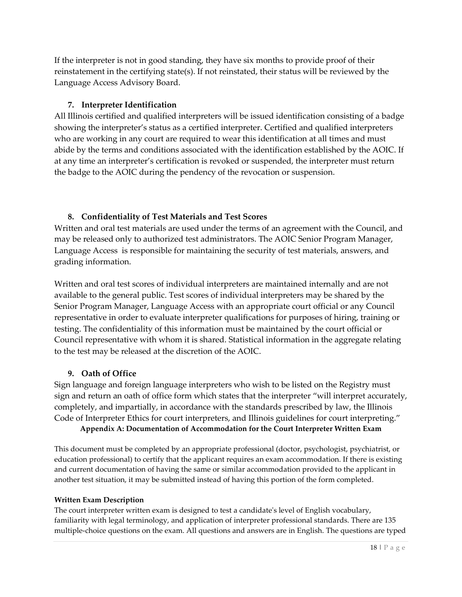If the interpreter is not in good standing, they have six months to provide proof of their reinstatement in the certifying state(s). If not reinstated, their status will be reviewed by the Language Access Advisory Board.

## **7. Interpreter Identification**

 All Illinois certified and qualified interpreters will be issued identification consisting of a badge abide by the terms and conditions associated with the identification established by the AOIC. If the badge to the AOIC during the pendency of the revocation or suspension. showing the interpreter's status as a certified interpreter. Certified and qualified interpreters who are working in any court are required to wear this identification at all times and must at any time an interpreter's certification is revoked or suspended, the interpreter must return

# **8. Confidentiality of Test Materials and Test Scores**

 Written and oral test materials are used under the terms of an agreement with the Council, and may be released only to authorized test administrators. The AOIC Senior Program Manager, Language Access is responsible for maintaining the security of test materials, answers, and grading information.

 available to the general public. Test scores of individual interpreters may be shared by the representative in order to evaluate interpreter qualifications for purposes of hiring, training or Council representative with whom it is shared. Statistical information in the aggregate relating Written and oral test scores of individual interpreters are maintained internally and are not Senior Program Manager, Language Access with an appropriate court official or any Council testing. The confidentiality of this information must be maintained by the court official or to the test may be released at the discretion of the AOIC.

## **9. Oath of Office**

 Sign language and foreign language interpreters who wish to be listed on the Registry must Code of Interpreter Ethics for court interpreters, and Illinois guidelines for court interpreting." sign and return an oath of office form which states that the interpreter "will interpret accurately, completely, and impartially, in accordance with the standards prescribed by law, the Illinois

**Appendix A: Documentation of Accommodation for the Court Interpreter Written Exam** 

This document must be completed by an appropriate professional (doctor, psychologist, psychiatrist, or education professional) to certify that the applicant requires an exam accommodation. If there is existing and current documentation of having the same or similar accommodation provided to the applicant in another test situation, it may be submitted instead of having this portion of the form completed.

## **Written Exam Description**

The court interpreter written exam is designed to test a candidate's level of English vocabulary, familiarity with legal terminology, and application of interpreter professional standards. There are 135 multiple-choice questions on the exam. All questions and answers are in English. The questions are typed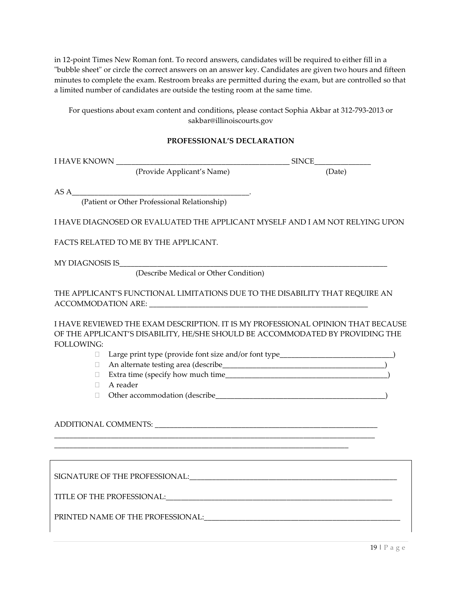in 12-point Times New Roman font. To record answers, candidates will be required to either fill in a "bubble sheet" or circle the correct answers on an answer key. Candidates are given two hours and fifteen minutes to complete the exam. Restroom breaks are permitted during the exam, but are controlled so that a limited number of candidates are outside the testing room at the same time.

For questions about exam content and conditions, please contact Sophia Akbar at 312-793-2013 or [sakbar@illinoiscourts.gov](mailto:sakbar@illinoiscourts.gov)

#### **PROFESSIONAL'S DECLARATION**

|                       | (Provide Applicant's Name)                                                                                                                                                                                                     | (Date)                                                                           |
|-----------------------|--------------------------------------------------------------------------------------------------------------------------------------------------------------------------------------------------------------------------------|----------------------------------------------------------------------------------|
| $ASA$ <sub>____</sub> |                                                                                                                                                                                                                                |                                                                                  |
|                       | (Patient or Other Professional Relationship)                                                                                                                                                                                   |                                                                                  |
|                       |                                                                                                                                                                                                                                | I HAVE DIAGNOSED OR EVALUATED THE APPLICANT MYSELF AND I AM NOT RELYING UPON     |
|                       | FACTS RELATED TO ME BY THE APPLICANT.                                                                                                                                                                                          |                                                                                  |
|                       | MY DIAGNOSIS IS POSTAGE AND THE SERVICE SERVICE SERVICE SERVICE SERVICE SERVICE SERVICE SERVICE SERVICE SERVICE SERVICE SERVICE SERVICE SERVICE SERVICE SERVICE SERVICE SERVICE SERVICE SERVICE SERVICE SERVICE SERVICE SERVIC |                                                                                  |
|                       | (Describe Medical or Other Condition)                                                                                                                                                                                          |                                                                                  |
|                       | THE APPLICANT'S FUNCTIONAL LIMITATIONS DUE TO THE DISABILITY THAT REQUIRE AN                                                                                                                                                   |                                                                                  |
| <b>FOLLOWING:</b>     | OF THE APPLICANT'S DISABILITY, HE/SHE SHOULD BE ACCOMMODATED BY PROVIDING THE                                                                                                                                                  | I HAVE REVIEWED THE EXAM DESCRIPTION. IT IS MY PROFESSIONAL OPINION THAT BECAUSE |
| $\Box$                | Large print type (provide font size and/or font type____________________________                                                                                                                                               |                                                                                  |
| $\Box$                |                                                                                                                                                                                                                                |                                                                                  |
| П.                    |                                                                                                                                                                                                                                |                                                                                  |
| $\Box$                | A reader                                                                                                                                                                                                                       |                                                                                  |
| $\Box$                |                                                                                                                                                                                                                                |                                                                                  |
|                       | ADDITIONAL COMMENTS: Universe of the community of the community of the community of the community of the community of the community of the community of the community of the community of the community of the community of th |                                                                                  |
|                       |                                                                                                                                                                                                                                |                                                                                  |
|                       |                                                                                                                                                                                                                                |                                                                                  |
|                       |                                                                                                                                                                                                                                |                                                                                  |
|                       | PRINTED NAME OF THE PROFESSIONAL:                                                                                                                                                                                              |                                                                                  |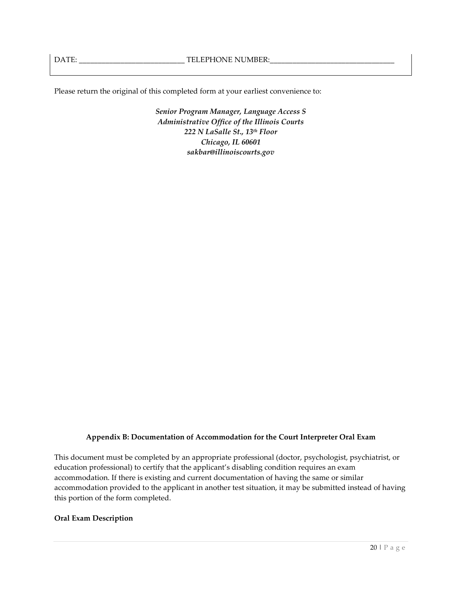Please return the original of this completed form at your earliest convenience to:

 *222 N LaSalle St., 13th Floor Senior Program Manager, Language Access S Administrative Office of the Illinois Courts Chicago, IL 60601 [sakbar@illinoiscourts.gov](mailto:sakbar@illinoiscourts.gov)* 

#### **Appendix B: Documentation of Accommodation for the Court Interpreter Oral Exam**

This document must be completed by an appropriate professional (doctor, psychologist, psychiatrist, or education professional) to certify that the applicant's disabling condition requires an exam accommodation. If there is existing and current documentation of having the same or similar accommodation provided to the applicant in another test situation, it may be submitted instead of having this portion of the form completed.

#### **Oral Exam Description**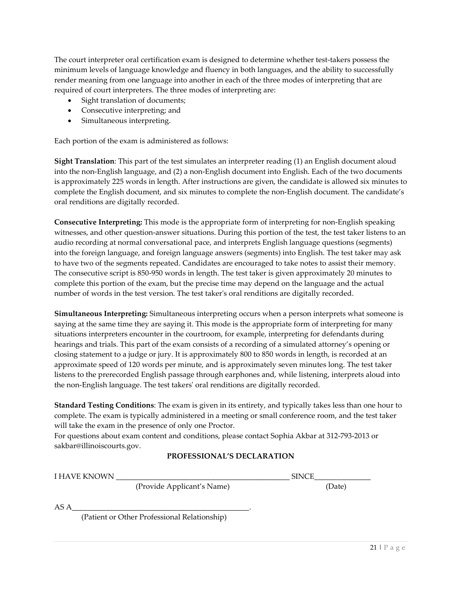The court interpreter oral certification exam is designed to determine whether test-takers possess the minimum levels of language knowledge and fluency in both languages, and the ability to successfully render meaning from one language into another in each of the three modes of interpreting that are required of court interpreters. The three modes of interpreting are:

- Sight translation of documents;
- Consecutive interpreting; and
- Simultaneous interpreting.

Each portion of the exam is administered as follows:

 is approximately 225 words in length. After instructions are given, the candidate is allowed six minutes to **Sight Translation**: This part of the test simulates an interpreter reading (1) an English document aloud into the non-English language, and (2) a non-English document into English. Each of the two documents complete the English document, and six minutes to complete the non-English document. The candidate's oral renditions are digitally recorded.

**Consecutive Interpreting:** This mode is the appropriate form of interpreting for non-English speaking witnesses, and other question-answer situations. During this portion of the test, the test taker listens to an audio recording at normal conversational pace, and interprets English language questions (segments) into the foreign language, and foreign language answers (segments) into English. The test taker may ask to have two of the segments repeated. Candidates are encouraged to take notes to assist their memory. The consecutive script is 850-950 words in length. The test taker is given approximately 20 minutes to complete this portion of the exam, but the precise time may depend on the language and the actual number of words in the test version. The test taker's oral renditions are digitally recorded.

**Simultaneous Interpreting:** Simultaneous interpreting occurs when a person interprets what someone is saying at the same time they are saying it. This mode is the appropriate form of interpreting for many situations interpreters encounter in the courtroom, for example, interpreting for defendants during hearings and trials. This part of the exam consists of a recording of a simulated attorney's opening or closing statement to a judge or jury. It is approximately 800 to 850 words in length, is recorded at an approximate speed of 120 words per minute, and is approximately seven minutes long. The test taker listens to the prerecorded English passage through earphones and, while listening, interprets aloud into the non-English language. The test takers' oral renditions are digitally recorded.

**Standard Testing Conditions**: The exam is given in its entirety, and typically takes less than one hour to complete. The exam is typically administered in a meeting or small conference room, and the test taker will take the exam in the presence of only one Proctor.

For questions about exam content and conditions, please contact Sophia Akbar at 312-793-2013 or [sakbar@illinoiscourts.gov](mailto:sakbar@illinoiscourts.gov).

#### **PROFESSIONAL'S DECLARATION**

| I HAVE KNOWN |                            | <b>SINCE</b> |  |
|--------------|----------------------------|--------------|--|
|              | (Provide Applicant's Name) | (Date)       |  |

AS A\_\_\_\_\_\_\_\_\_\_\_\_\_\_\_\_\_\_\_\_\_\_\_\_\_\_\_\_\_\_\_\_\_\_\_\_\_\_\_\_\_\_\_\_\_\_\_.

(Patient or Other Professional Relationship)